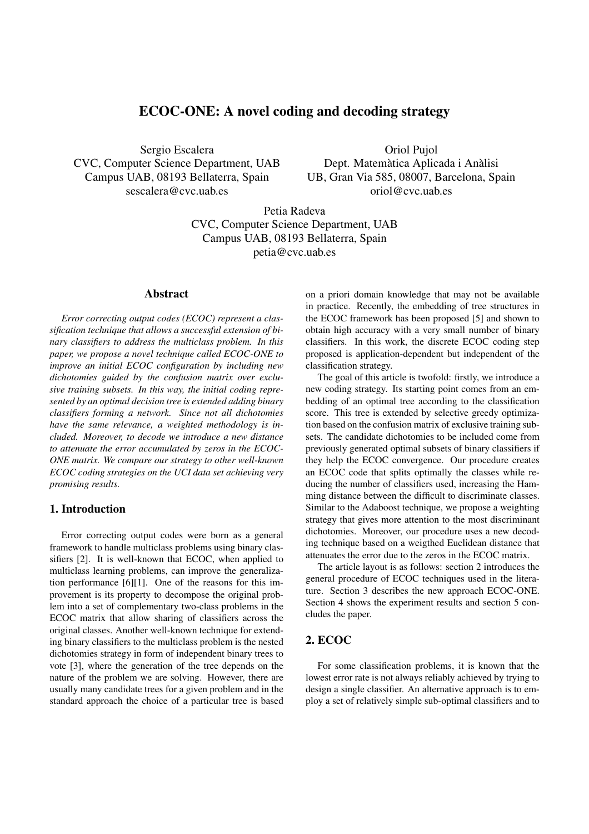# ECOC-ONE: A novel coding and decoding strategy

Sergio Escalera CVC, Computer Science Department, UAB Campus UAB, 08193 Bellaterra, Spain sescalera@cvc.uab.es

Oriol Pujol Dept. Matemàtica Aplicada i Anàlisi UB, Gran Via 585, 08007, Barcelona, Spain oriol@cvc.uab.es

Petia Radeva CVC, Computer Science Department, UAB Campus UAB, 08193 Bellaterra, Spain petia@cvc.uab.es

#### Abstract

*Error correcting output codes (ECOC) represent a classification technique that allows a successful extension of binary classifiers to address the multiclass problem. In this paper, we propose a novel technique called ECOC-ONE to improve an initial ECOC configuration by including new dichotomies guided by the confusion matrix over exclusive training subsets. In this way, the initial coding represented by an optimal decision tree is extended adding binary classifiers forming a network. Since not all dichotomies have the same relevance, a weighted methodology is included. Moreover, to decode we introduce a new distance to attenuate the error accumulated by zeros in the ECOC-ONE matrix. We compare our strategy to other well-known ECOC coding strategies on the UCI data set achieving very promising results.*

# 1. Introduction

Error correcting output codes were born as a general framework to handle multiclass problems using binary classifiers [2]. It is well-known that ECOC, when applied to multiclass learning problems, can improve the generalization performance [6][1]. One of the reasons for this improvement is its property to decompose the original problem into a set of complementary two-class problems in the ECOC matrix that allow sharing of classifiers across the original classes. Another well-known technique for extending binary classifiers to the multiclass problem is the nested dichotomies strategy in form of independent binary trees to vote [3], where the generation of the tree depends on the nature of the problem we are solving. However, there are usually many candidate trees for a given problem and in the standard approach the choice of a particular tree is based on a priori domain knowledge that may not be available in practice. Recently, the embedding of tree structures in the ECOC framework has been proposed [5] and shown to obtain high accuracy with a very small number of binary classifiers. In this work, the discrete ECOC coding step proposed is application-dependent but independent of the classification strategy.

The goal of this article is twofold: firstly, we introduce a new coding strategy. Its starting point comes from an embedding of an optimal tree according to the classification score. This tree is extended by selective greedy optimization based on the confusion matrix of exclusive training subsets. The candidate dichotomies to be included come from previously generated optimal subsets of binary classifiers if they help the ECOC convergence. Our procedure creates an ECOC code that splits optimally the classes while reducing the number of classifiers used, increasing the Hamming distance between the difficult to discriminate classes. Similar to the Adaboost technique, we propose a weighting strategy that gives more attention to the most discriminant dichotomies. Moreover, our procedure uses a new decoding technique based on a weigthed Euclidean distance that attenuates the error due to the zeros in the ECOC matrix.

The article layout is as follows: section 2 introduces the general procedure of ECOC techniques used in the literature. Section 3 describes the new approach ECOC-ONE. Section 4 shows the experiment results and section 5 concludes the paper.

# 2. ECOC

For some classification problems, it is known that the lowest error rate is not always reliably achieved by trying to design a single classifier. An alternative approach is to employ a set of relatively simple sub-optimal classifiers and to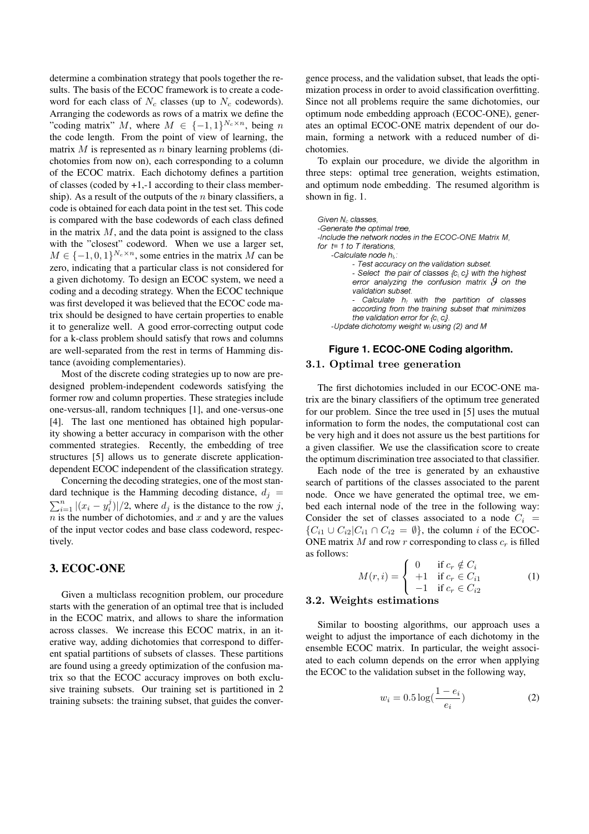determine a combination strategy that pools together the results. The basis of the ECOC framework is to create a codeword for each class of  $N_c$  classes (up to  $N_c$  codewords). Arranging the codewords as rows of a matrix we define the "coding matrix" M, where  $M \in \{-1,1\}^{N_c \times n}$ , being n the code length. From the point of view of learning, the matrix  $M$  is represented as  $n$  binary learning problems (dichotomies from now on), each corresponding to a column of the ECOC matrix. Each dichotomy defines a partition of classes (coded by  $+1$ ,-1 according to their class membership). As a result of the outputs of the  $n$  binary classifiers, a code is obtained for each data point in the test set. This code is compared with the base codewords of each class defined in the matrix  $M$ , and the data point is assigned to the class with the "closest" codeword. When we use a larger set,  $M \in \{-1, 0, 1\}^{N_c \times n}$ , some entries in the matrix M can be zero, indicating that a particular class is not considered for a given dichotomy. To design an ECOC system, we need a coding and a decoding strategy. When the ECOC technique was first developed it was believed that the ECOC code matrix should be designed to have certain properties to enable it to generalize well. A good error-correcting output code for a k-class problem should satisfy that rows and columns are well-separated from the rest in terms of Hamming distance (avoiding complementaries).

Most of the discrete coding strategies up to now are predesigned problem-independent codewords satisfying the former row and column properties. These strategies include one-versus-all, random techniques [1], and one-versus-one [4]. The last one mentioned has obtained high popularity showing a better accuracy in comparison with the other commented strategies. Recently, the embedding of tree structures [5] allows us to generate discrete applicationdependent ECOC independent of the classification strategy.

Concerning the decoding strategies, one of the most standard technique is the Hamming decoding distance,  $d_i$  =  $\sum_{i=1}^{n} |(x_i - y_i^j)|/2$ , where  $d_j$  is the distance to the row j,  $\overline{n}$  is the number of dichotomies, and x and y are the values of the input vector codes and base class codeword, respectively.

# 3. ECOC-ONE

Given a multiclass recognition problem, our procedure starts with the generation of an optimal tree that is included in the ECOC matrix, and allows to share the information across classes. We increase this ECOC matrix, in an iterative way, adding dichotomies that correspond to different spatial partitions of subsets of classes. These partitions are found using a greedy optimization of the confusion matrix so that the ECOC accuracy improves on both exclusive training subsets. Our training set is partitioned in 2 training subsets: the training subset, that guides the convergence process, and the validation subset, that leads the optimization process in order to avoid classification overfitting. Since not all problems require the same dichotomies, our optimum node embedding approach (ECOC-ONE), generates an optimal ECOC-ONE matrix dependent of our domain, forming a network with a reduced number of dichotomies.

To explain our procedure, we divide the algorithm in three steps: optimal tree generation, weights estimation, and optimum node embedding. The resumed algorithm is shown in fig. 1.

Given  $N_c$  classes, -Generate the optimal tree -Include the network nodes in the ECOC-ONE Matrix M. for  $t = 1$  to T iterations. -Calculate node  $h_t$ . - Test accuracy on the validation subset. - Select the pair of classes  ${c_i c_i}$  with the highest error analyzing the confusion matrix  $\mathcal G$  on the validation subset. Calculate  $h_t$  with the partition of classes according from the training subset that minimizes the validation error for  ${c_i c_j}$ -Update dichotomy weight  $w_t$  using (2) and M

## **Figure 1. ECOC-ONE Coding algorithm.** 3.1. Optimal tree generation

The first dichotomies included in our ECOC-ONE matrix are the binary classifiers of the optimum tree generated for our problem. Since the tree used in [5] uses the mutual information to form the nodes, the computational cost can be very high and it does not assure us the best partitions for a given classifier. We use the classification score to create the optimum discrimination tree associated to that classifier.

Each node of the tree is generated by an exhaustive search of partitions of the classes associated to the parent node. Once we have generated the optimal tree, we embed each internal node of the tree in the following way: Consider the set of classes associated to a node  $C_i$  =  $\{C_{i1} \cup C_{i2} | C_{i1} \cap C_{i2} = \emptyset\}$ , the column i of the ECOC-ONE matrix  $M$  and row  $r$  corresponding to class  $c_r$  is filled as follows:  $\overline{a}$ 

$$
M(r,i) = \begin{cases} 0 & \text{if } c_r \notin C_i \\ +1 & \text{if } c_r \in C_{i1} \\ -1 & \text{if } c_r \in C_{i2} \end{cases}
$$
 (1)

### 3.2. Weights estimations

Similar to boosting algorithms, our approach uses a weight to adjust the importance of each dichotomy in the ensemble ECOC matrix. In particular, the weight associated to each column depends on the error when applying the ECOC to the validation subset in the following way,

$$
w_i = 0.5 \log(\frac{1 - e_i}{e_i})
$$
\n<sup>(2)</sup>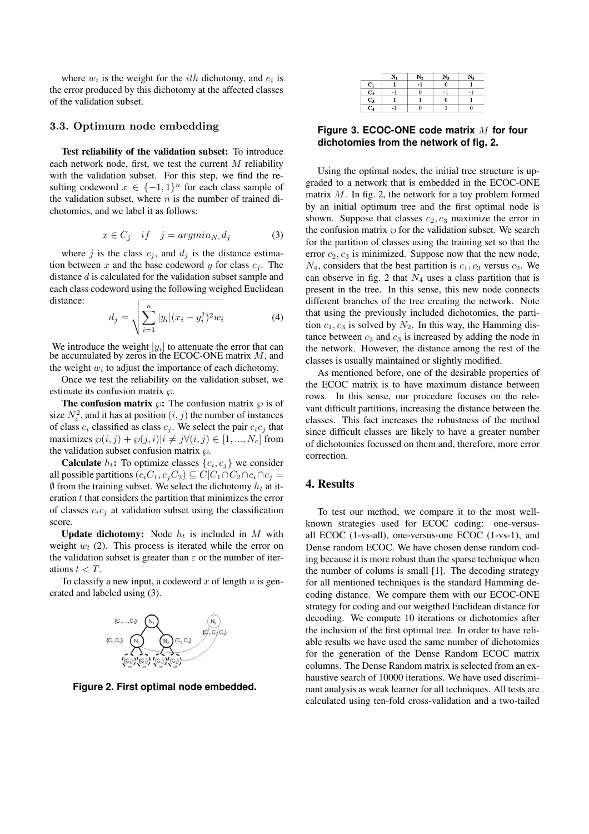where  $w_i$  is the weight for the *ith* dichotomy, and  $e_i$  is the error produced by this dichotomy at the affected classes of the validation subset.

## 3.3. Optimum node embedding

Test reliability of the validation subset: To introduce each network node, first, we test the current  $M$  reliability with the validation subset. For this step, we find the resulting codeword  $x \in \{-1,1\}^n$  for each class sample of the validation subset, where  $n$  is the number of trained dichotomies, and we label it as follows:

$$
x \in C_j \quad if \quad j = argmin_{N_c} d_j \tag{3}
$$

where j is the class  $c_j$ , and  $d_j$  is the distance estimation between x and the base codeword y for class  $c_j$ . The distance d is calculated for the validation subset sample and each class codeword using the following weighed Euclidean distance:

$$
d_j = \sqrt{\sum_{i=1}^n |y_i|(x_i - y_i^j)^2 w_i}
$$
 (4)

We introduce the weight  $|y_i|$  to attenuate the error that can be accumulated by zeros in the ECOC-ONE matrix  $M$ , and the weight  $w_i$  to adjust the importance of each dichotomy.

Once we test the reliability on the validation subset, we estimate its confusion matrix  $\wp$ .

The confusion matrix  $\varphi$ : The confusion matrix  $\varphi$  is of size  $N_c^2$ , and it has at position  $(i, j)$  the number of instances of class  $c_i$  classified as class  $c_j$ . We select the pair  $c_i c_j$  that maximizes  $\wp(i, j) + \wp(j, i)|i \neq j \forall (i, j) \in [1, ..., N_c]$  from the validation subset confusion matrix  $\wp$ .

**Calculate**  $h_t$ : To optimize classes  $\{c_i, c_j\}$  we consider all possible partitions  $(c_iC_1, c_iC_2) \subseteq C|C_1 \cap C_2 \cap c_i \cap c_j =$  $\emptyset$  from the training subset. We select the dichotomy  $h_t$  at iteration  $t$  that considers the partition that minimizes the error of classes  $c_i c_j$  at validation subset using the classification score.

Update dichotomy: Node  $h_t$  is included in M with weight  $w_t$  (2). This process is iterated while the error on the validation subset is greater than  $\varepsilon$  or the number of iterations  $t < T$ .

To classify a new input, a codeword x of length  $n$  is generated and labeled using (3).



**Figure 2. First optimal node embedded.**

|                   |  | $\mathbf{N}_3$ |  |
|-------------------|--|----------------|--|
| $C_1$             |  |                |  |
|                   |  |                |  |
| $\frac{C_2}{C_3}$ |  |                |  |
| $C_4$             |  |                |  |

**Figure 3. ECOC-ONE code matrix** M **for four dichotomies from the network of fig. 2.**

Using the optimal nodes, the initial tree structure is upgraded to a network that is embedded in the ECOC-ONE matrix  $M$ . In fig. 2, the network for a toy problem formed by an initial optimum tree and the first optimal node is shown. Suppose that classes  $c_2, c_3$  maximize the error in the confusion matrix  $\wp$  for the validation subset. We search for the partition of classes using the training set so that the error  $c_2$ ,  $c_3$  is minimized. Suppose now that the new node,  $N_4$ , considers that the best partition is  $c_1, c_3$  versus  $c_2$ . We can observe in fig. 2 that  $N_4$  uses a class partition that is present in the tree. In this sense, this new node connects different branches of the tree creating the network. Note that using the previously included dichotomies, the partition  $c_1$ ,  $c_3$  is solved by  $N_2$ . In this way, the Hamming distance between  $c_2$  and  $c_3$  is increased by adding the node in the network. However, the distance among the rest of the classes is usually maintained or slightly modified.

As mentioned before, one of the desirable properties of the ECOC matrix is to have maximum distance between rows. In this sense, our procedure focuses on the relevant difficult partitions, increasing the distance between the classes. This fact increases the robustness of the method since difficult classes are likely to have a greater number of dichotomies focussed on them and, therefore, more error correction.

# 4. Results

To test our method, we compare it to the most wellknown strategies used for ECOC coding: one-versusall ECOC (1-vs-all), one-versus-one ECOC (1-vs-1), and Dense random ECOC. We have chosen dense random coding because it is more robust than the sparse technique when the number of colums is small [1]. The decoding strategy for all mentioned techniques is the standard Hamming decoding distance. We compare them with our ECOC-ONE strategy for coding and our weigthed Euclidean distance for decoding. We compute 10 iterations or dichotomies after the inclusion of the first optimal tree. In order to have reliable results we have used the same number of dichotomies for the generation of the Dense Random ECOC matrix columns. The Dense Random matrix is selected from an exhaustive search of 10000 iterations. We have used discriminant analysis as weak learner for all techniques. All tests are calculated using ten-fold cross-validation and a two-tailed